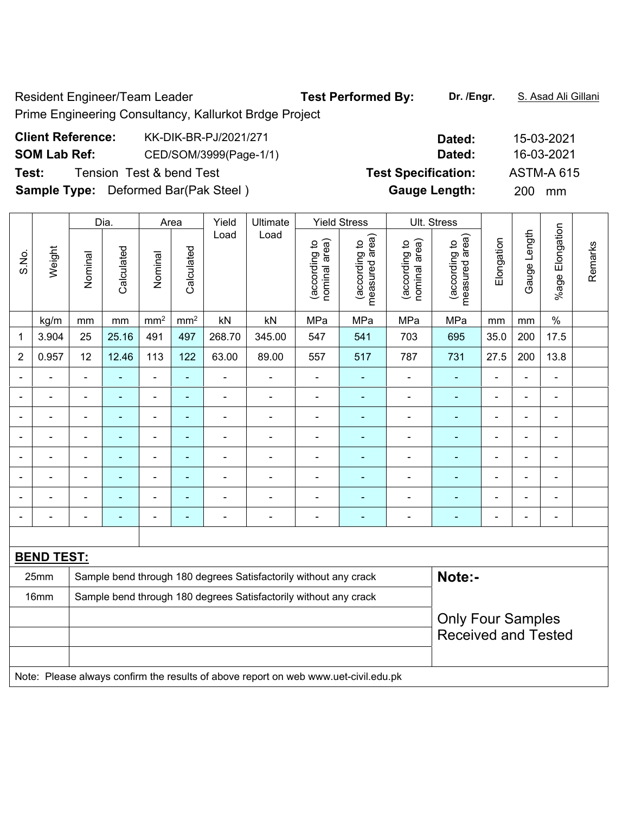Resident Engineer/Team Leader **Test Performed By:** Dr. /Engr. S. Asad Ali Gillani Prime Engineering Consultancy, Kallurkot Brdge Project

| <b>Client Reference:</b> | KK-DIK-BR-PJ/2021/271                       | Dated:                     | 15-03-2021        |
|--------------------------|---------------------------------------------|----------------------------|-------------------|
| <b>SOM Lab Ref:</b>      | CED/SOM/3999(Page-1/1)                      | Dated:                     | 16-03-2021        |
| Test:                    | Tension Test & bend Test                    | <b>Test Specification:</b> | <b>ASTM-A 615</b> |
|                          | <b>Sample Type:</b> Deformed Bar(Pak Steel) | <b>Gauge Length:</b>       | <b>200</b><br>mm  |

|                |                                                                          |                          | Dia.           |                              | Area            | Yield          | Ultimate                                                         |                                | <b>Yield Stress</b>             |                                | Ult. Stress                     |                            |                |                           |         |  |
|----------------|--------------------------------------------------------------------------|--------------------------|----------------|------------------------------|-----------------|----------------|------------------------------------------------------------------|--------------------------------|---------------------------------|--------------------------------|---------------------------------|----------------------------|----------------|---------------------------|---------|--|
| S.No.          | Weight                                                                   | Nominal                  | Calculated     | Nominal                      | Calculated      | Load           | Load                                                             | nominal area)<br>(according to | measured area)<br>(according to | nominal area)<br>(according to | measured area)<br>(according to | Elongation                 | Gauge Length   | Elongation<br>$%$ age $ $ | Remarks |  |
|                | kg/m                                                                     | mm                       | mm             | mm <sup>2</sup>              | mm <sup>2</sup> | kN             | kN                                                               | MPa                            | MPa                             | MPa                            | MPa                             | mm                         | mm             | $\%$                      |         |  |
| 1              | 3.904                                                                    | 25                       | 25.16          | 491                          | 497             | 268.70         | 345.00                                                           | 547                            | 541                             | 703                            | 695                             | 35.0                       | 200            | 17.5                      |         |  |
| $\overline{2}$ | 0.957                                                                    | 12                       | 12.46          | 113                          | 122             | 63.00          | 89.00                                                            | 557                            | 517                             | 787                            | 731                             | 27.5                       | 200            | 13.8                      |         |  |
|                |                                                                          |                          |                | $\blacksquare$               | $\blacksquare$  | $\blacksquare$ |                                                                  | $\blacksquare$                 |                                 | ۰                              |                                 | $\blacksquare$             |                |                           |         |  |
| $\blacksquare$ | $\blacksquare$                                                           | $\overline{\phantom{a}}$ | $\blacksquare$ | $\overline{\phantom{a}}$     | ۰               | $\blacksquare$ | $\blacksquare$                                                   | $\qquad \qquad \blacksquare$   | ٠                               | ÷,                             | $\blacksquare$                  | $\blacksquare$             | $\blacksquare$ | $\blacksquare$            |         |  |
|                |                                                                          | $\blacksquare$           | $\blacksquare$ | $\blacksquare$               | $\blacksquare$  | ۰              | ٠                                                                | $\blacksquare$                 | ÷                               | $\blacksquare$                 | $\blacksquare$                  |                            | $\blacksquare$ | $\blacksquare$            |         |  |
|                |                                                                          |                          | ۳              | $\blacksquare$               | $\blacksquare$  | ÷              |                                                                  | ä,                             |                                 | $\blacksquare$                 | $\blacksquare$                  | $\blacksquare$             | $\blacksquare$ | $\blacksquare$            |         |  |
| $\blacksquare$ |                                                                          | $\blacksquare$           | $\blacksquare$ | ۰                            | ۰               | ÷,             | $\overline{\phantom{0}}$                                         | $\blacksquare$                 | ۰                               | $\blacksquare$                 | $\blacksquare$                  | $\blacksquare$             | $\blacksquare$ | $\blacksquare$            |         |  |
|                |                                                                          | $\overline{\phantom{a}}$ | ä,             | $\blacksquare$               |                 | ä,             |                                                                  | $\blacksquare$                 | ÷                               | Ē,                             |                                 |                            |                | $\blacksquare$            |         |  |
|                |                                                                          |                          |                | ۰                            |                 |                |                                                                  | $\blacksquare$                 |                                 |                                |                                 |                            |                |                           |         |  |
|                |                                                                          | $\blacksquare$           | -              | $\qquad \qquad \blacksquare$ | ۰               | ä,             | $\blacksquare$                                                   | $\blacksquare$                 | ۰                               | $\blacksquare$                 | $\blacksquare$                  | $\blacksquare$             | $\blacksquare$ | $\blacksquare$            |         |  |
|                |                                                                          |                          |                |                              |                 |                |                                                                  |                                |                                 |                                |                                 |                            |                |                           |         |  |
|                | <b>BEND TEST:</b>                                                        |                          |                |                              |                 |                |                                                                  |                                |                                 |                                |                                 |                            |                |                           |         |  |
|                | 25mm                                                                     |                          |                |                              |                 |                | Sample bend through 180 degrees Satisfactorily without any crack |                                |                                 |                                | Note:-                          |                            |                |                           |         |  |
|                | Sample bend through 180 degrees Satisfactorily without any crack<br>16mm |                          |                |                              |                 |                |                                                                  |                                |                                 |                                |                                 |                            |                |                           |         |  |
|                |                                                                          |                          |                |                              |                 |                |                                                                  |                                |                                 |                                | <b>Only Four Samples</b>        |                            |                |                           |         |  |
|                |                                                                          |                          |                |                              |                 |                |                                                                  |                                |                                 |                                |                                 | <b>Received and Tested</b> |                |                           |         |  |
|                |                                                                          |                          |                |                              |                 |                |                                                                  |                                |                                 |                                |                                 |                            |                |                           |         |  |

Note: Please always confirm the results of above report on web www.uet-civil.edu.pk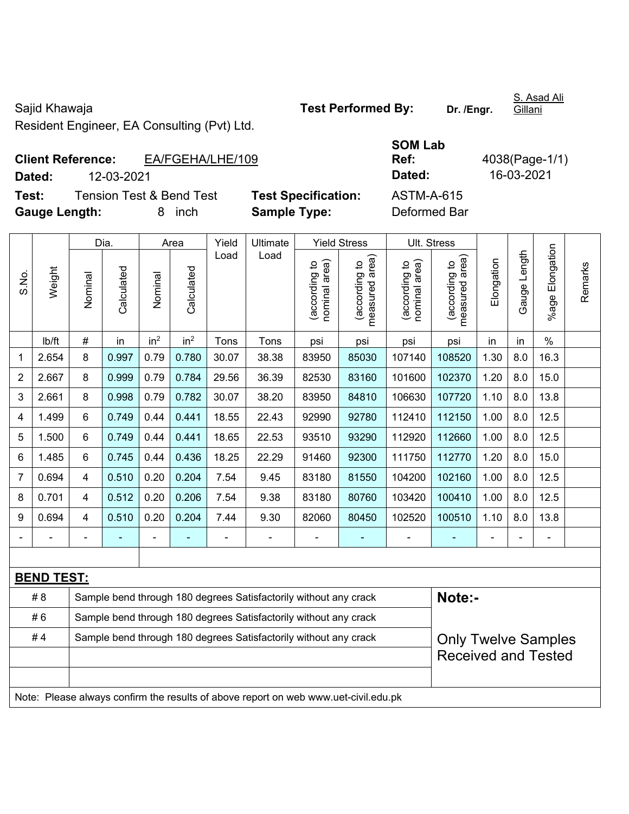Sajid Khawaja **Test Performed By:** Dr. /Engr.

S. Asad Ali Gillani

Resident Engineer, EA Consulting (Pvt) Ltd.

## **Client Reference:** EA/FGEHA/LHE/109 **Dated:** 12-03-2021 **I** Test: Tension Test & Bend Test Test Specification: A

| <b>SOM Lab</b> |                |
|----------------|----------------|
| Ref:           | 4038(Page-1/1) |
| <b>Dated:</b>  | 16-03-2021     |
| ASTM-A-615     |                |
| Defermed Der   |                |

**Gauge Length:** 8 inch **Sample Type:** Deformed Bar

|                |                   |                | Dia.       | Area            |                 | Yield          | Ultimate                                                         |                                         | <b>Yield Stress</b>                |                                         | Ult. Stress                        |                |                 |                       |         |
|----------------|-------------------|----------------|------------|-----------------|-----------------|----------------|------------------------------------------------------------------|-----------------------------------------|------------------------------------|-----------------------------------------|------------------------------------|----------------|-----------------|-----------------------|---------|
| S.No.          | Weight            | Nominal        | Calculated | Nominal         | Calculated      | Load           | Load                                                             | area)<br>(according to<br>nominal area) | area)<br>(according to<br>measured | area)<br>(according to<br>nominal area) | area)<br>(according to<br>measured | Elongation     | Length<br>Gauge | Elongation<br>$%$ age | Remarks |
|                | lb/ft             | $\#$           | in         | in <sup>2</sup> | in <sup>2</sup> | Tons           | Tons                                                             | psi                                     | psi                                | psi                                     | psi                                | in             | in              | $\%$                  |         |
| 1              | 2.654             | 8              | 0.997      | 0.79            | 0.780           | 30.07          | 38.38                                                            | 83950                                   | 85030                              | 107140                                  | 108520                             | 1.30           | 8.0             | 16.3                  |         |
| $\overline{2}$ | 2.667             | 8              | 0.999      | 0.79            | 0.784           | 29.56          | 36.39                                                            | 82530                                   | 83160                              | 101600                                  | 102370                             | 1.20           | 8.0             | 15.0                  |         |
| 3              | 2.661             | 8              | 0.998      | 0.79            | 0.782           | 30.07          | 38.20                                                            | 83950                                   | 84810                              | 106630                                  | 107720                             | 1.10           | 8.0             | 13.8                  |         |
| 4              | 1.499             | 6              | 0.749      | 0.44            | 0.441           | 18.55          | 22.43                                                            | 92990                                   | 92780                              | 112410                                  | 112150                             | 1.00           | 8.0             | 12.5                  |         |
| 5              | 1.500             | $6\phantom{a}$ | 0.749      | 0.44            | 0.441           | 18.65          | 22.53                                                            | 93510                                   | 93290                              | 112920                                  | 112660                             | 1.00           | 8.0             | 12.5                  |         |
| 6              | 1.485             | 6              | 0.745      | 0.44            | 0.436           | 18.25          | 22.29                                                            | 91460                                   | 92300                              | 111750                                  | 112770                             | 1.20           | 8.0             | 15.0                  |         |
| 7              | 0.694             | 4              | 0.510      | 0.20            | 0.204           | 7.54           | 9.45                                                             | 83180                                   | 81550                              | 104200                                  | 102160                             | 1.00           | 8.0             | 12.5                  |         |
| 8              | 0.701             | 4              | 0.512      | 0.20            | 0.206           | 7.54           | 9.38                                                             | 83180                                   | 80760                              | 103420                                  | 100410                             | 1.00           | 8.0             | 12.5                  |         |
| 9              | 0.694             | 4              | 0.510      | 0.20            | 0.204           | 7.44           | 9.30                                                             | 82060                                   | 80450                              | 102520                                  | 100510                             | 1.10           | 8.0             | 13.8                  |         |
|                |                   |                |            | $\blacksquare$  | ٠               | $\blacksquare$ | $\blacksquare$                                                   | $\overline{\phantom{0}}$                | $\blacksquare$                     | $\blacksquare$                          | ٠                                  | $\blacksquare$ | $\blacksquare$  | $\blacksquare$        |         |
|                |                   |                |            |                 |                 |                |                                                                  |                                         |                                    |                                         |                                    |                |                 |                       |         |
|                | <b>BEND TEST:</b> |                |            |                 |                 |                |                                                                  |                                         |                                    |                                         |                                    |                |                 |                       |         |
|                | # Q               |                |            |                 |                 |                | Sample bend through 180 degrees Satisfactorily without any crash |                                         |                                    |                                         | $N$ $A$ $A$ $A$                    |                |                 |                       |         |

| # 8 | Sample bend through 180 degrees Satisfactorily without any crack                    | Note:-                     |
|-----|-------------------------------------------------------------------------------------|----------------------------|
| #6  | Sample bend through 180 degrees Satisfactorily without any crack                    |                            |
| #4  | Sample bend through 180 degrees Satisfactorily without any crack                    | <b>Only Twelve Samples</b> |
|     |                                                                                     | <b>Received and Tested</b> |
|     |                                                                                     |                            |
|     | Note: Please always confirm the results of above report on web www.uet-civil.edu.pk |                            |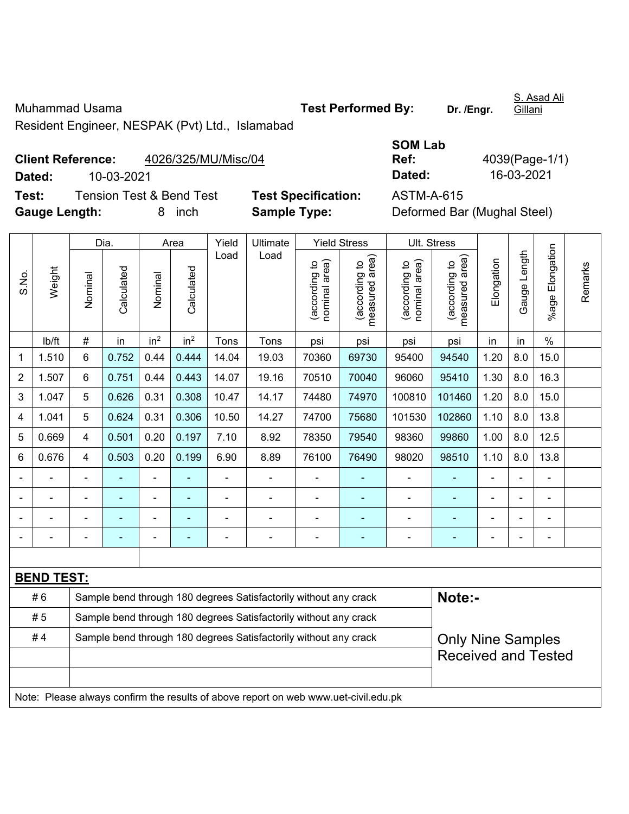Muhammad Usama **Test Performed By:** Dr. /Engr.

S. Asad Ali **Gillani** 

Resident Engineer, NESPAK (Pvt) Ltd., Islamabad

|        | <b>Client Reference:</b><br>4026/325/MU/Misc/04 |                            | Ref:       | 4039(Page-1/ |
|--------|-------------------------------------------------|----------------------------|------------|--------------|
| Dated: | 10-03-2021                                      |                            | Dated:     | 16-03-2021   |
| Test:  | Tension Test & Bend Test                        | <b>Test Specification:</b> | ASTM-A-615 |              |
|        |                                                 |                            |            |              |

| <b>SOM Lab</b> |                |
|----------------|----------------|
| Ref:           | 4039(Page-1/1) |
| Dated:         | 16-03-2021     |
|                |                |

**Test Specification:** ASTM-A-615<br> **Sample Type:** Deformed Ba **Gauge Length:** 8 inch **Sample Type:** Deformed Bar (Mughal Steel)

|                |                   |                | Dia.       |                 | Area            | Yield          | Ultimate                                                                            |                                | <b>Yield Stress</b>                         | Ult. Stress                    |                                 |                |                |                       |         |
|----------------|-------------------|----------------|------------|-----------------|-----------------|----------------|-------------------------------------------------------------------------------------|--------------------------------|---------------------------------------------|--------------------------------|---------------------------------|----------------|----------------|-----------------------|---------|
| S.No.          | Weight            | Nominal        | Calculated | Nominal         | Calculated      | Load           | Load                                                                                | nominal area)<br>(according to | (according to<br>neasured area)<br>measured | nominal area)<br>(according to | (according to<br>measured area) | Elongation     | Gauge Length   | Elongation<br>$%$ age | Remarks |
|                | lb/ft             | $\#$           | in         | in <sup>2</sup> | in <sup>2</sup> | Tons           | Tons                                                                                | psi                            | psi                                         | psi                            | psi                             | in             | in             | $\%$                  |         |
| 1              | 1.510             | 6              | 0.752      | 0.44            | 0.444           | 14.04          | 19.03                                                                               | 70360                          | 69730                                       | 95400                          | 94540                           | 1.20           | 8.0            | 15.0                  |         |
| $\overline{2}$ | 1.507             | 6              | 0.751      | 0.44            | 0.443           | 14.07          | 19.16                                                                               | 70510                          | 70040                                       | 96060                          | 95410                           | 1.30           | 8.0            | 16.3                  |         |
| $\mathbf{3}$   | 1.047             | 5              | 0.626      | 0.31            | 0.308           | 10.47          | 14.17                                                                               | 74480                          | 74970                                       | 100810                         | 101460                          | 1.20           | 8.0            | 15.0                  |         |
| 4              | 1.041             | 5              | 0.624      | 0.31            | 0.306           | 10.50          | 14.27                                                                               | 74700                          | 75680                                       | 101530                         | 102860                          | 1.10           | 8.0            | 13.8                  |         |
| 5              | 0.669             | 4              | 0.501      | 0.20            | 0.197           | 7.10           | 8.92                                                                                | 78350                          | 79540                                       | 98360                          | 99860                           | 1.00           | 8.0            | 12.5                  |         |
| $\,6\,$        | 0.676             | $\overline{4}$ | 0.503      | 0.20            | 0.199           | 6.90           | 8.89                                                                                | 76100                          | 76490                                       | 98020                          | 98510                           | 1.10           | 8.0            | 13.8                  |         |
|                |                   | $\blacksquare$ |            |                 |                 |                |                                                                                     |                                |                                             | $\blacksquare$                 |                                 |                |                |                       |         |
|                |                   | $\blacksquare$ |            | $\blacksquare$  | ٠               | $\blacksquare$ | $\blacksquare$                                                                      | $\blacksquare$                 | ÷                                           | $\blacksquare$                 | $\blacksquare$                  | $\blacksquare$ | $\blacksquare$ | $\blacksquare$        |         |
|                |                   |                |            | ۰               |                 |                | $\blacksquare$                                                                      | $\blacksquare$                 | ۰                                           | $\blacksquare$                 | ۰                               | $\blacksquare$ |                | ÷                     |         |
|                |                   |                |            | $\blacksquare$  | ٠               | $\blacksquare$ | $\blacksquare$                                                                      | $\blacksquare$                 | ÷                                           | $\blacksquare$                 | ÷                               | $\blacksquare$ |                | ä,                    |         |
|                |                   |                |            |                 |                 |                |                                                                                     |                                |                                             |                                |                                 |                |                |                       |         |
|                | <b>BEND TEST:</b> |                |            |                 |                 |                |                                                                                     |                                |                                             |                                |                                 |                |                |                       |         |
|                | #6                |                |            |                 |                 |                | Sample bend through 180 degrees Satisfactorily without any crack                    |                                |                                             |                                | Note:-                          |                |                |                       |         |
|                | #5                |                |            |                 |                 |                | Sample bend through 180 degrees Satisfactorily without any crack                    |                                |                                             |                                |                                 |                |                |                       |         |
|                | #4                |                |            |                 |                 |                | Sample bend through 180 degrees Satisfactorily without any crack                    |                                |                                             |                                | <b>Only Nine Samples</b>        |                |                |                       |         |
|                |                   |                |            |                 |                 |                |                                                                                     |                                |                                             |                                | <b>Received and Tested</b>      |                |                |                       |         |
|                |                   |                |            |                 |                 |                |                                                                                     |                                |                                             |                                |                                 |                |                |                       |         |
|                |                   |                |            |                 |                 |                | Note: Please always confirm the results of above report on web www.uet-civil.edu.pk |                                |                                             |                                |                                 |                |                |                       |         |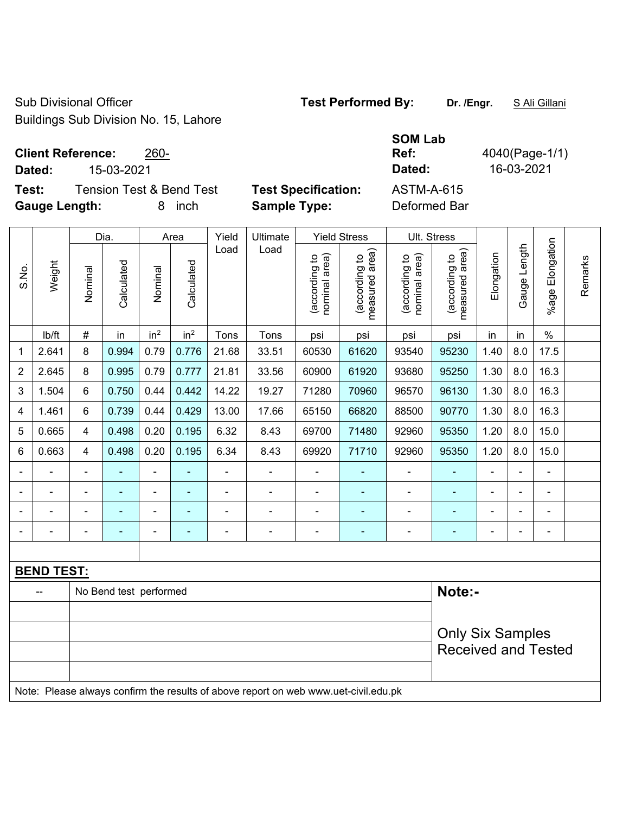Sub Divisional Officer **Test Performed By:** Dr. /Engr. **SALI Gillani** Buildings Sub Division No. 15, Lahore

| <b>Client Reference:</b> | 260- |
|--------------------------|------|
|--------------------------|------|

**Dated:** 15-03-2021 **Dated:** 16-03-2021

**Test:** Tension Test & Bend Test **Test Specification: Gauge Length:** 8 inch **Sample Type:** Deformed Bar

| <b>SOM Lab</b> |                |
|----------------|----------------|
| Ref:           | 4040(Page-1/1) |
| Dated:         | 16-03-2021     |
| ASTM-A-615     |                |
|                |                |

|                |                         | Dia.                    |                        | Area            |                 | Yield | Ultimate                                                                            | <b>Yield Stress</b>            |                                 | Ult. Stress                    |                                 |                |                |                       |         |
|----------------|-------------------------|-------------------------|------------------------|-----------------|-----------------|-------|-------------------------------------------------------------------------------------|--------------------------------|---------------------------------|--------------------------------|---------------------------------|----------------|----------------|-----------------------|---------|
| S.No.          | Weight                  | Nominal                 | Calculated             | Nominal         | Calculated      | Load  | Load                                                                                | (according to<br>nominal area) | (according to<br>measured area) | nominal area)<br>(according to | measured area)<br>(according to | Elongation     | Gauge Length   | Elongation<br>$%$ age | Remarks |
|                | lb/ft                   | $\#$                    | in                     | in <sup>2</sup> | in <sup>2</sup> | Tons  | Tons                                                                                | psi                            | psi                             | psi                            | psi                             | in             | in             | $\%$                  |         |
| 1              | 2.641                   | 8                       | 0.994                  | 0.79            | 0.776           | 21.68 | 33.51                                                                               | 60530                          | 61620                           | 93540                          | 95230                           | 1.40           | 8.0            | 17.5                  |         |
| $\overline{2}$ | 2.645                   | 8                       | 0.995                  | 0.79            | 0.777           | 21.81 | 33.56                                                                               | 60900                          | 61920                           | 93680                          | 95250                           | 1.30           | 8.0            | 16.3                  |         |
| 3              | 1.504                   | 6                       | 0.750                  | 0.44            | 0.442           | 14.22 | 19.27                                                                               | 71280                          | 70960                           | 96570                          | 96130                           | 1.30           | 8.0            | 16.3                  |         |
| 4              | 1.461                   | $\,6\,$                 | 0.739                  | 0.44            | 0.429           | 13.00 | 17.66                                                                               | 65150                          | 66820                           | 88500                          | 90770                           | 1.30           | 8.0            | 16.3                  |         |
| 5              | 0.665                   | $\overline{\mathbf{4}}$ | 0.498                  | 0.20            | 0.195           | 6.32  | 8.43                                                                                | 69700                          | 71480                           | 92960                          | 95350                           | 1.20           | 8.0            | 15.0                  |         |
| 6              | 0.663                   | 4                       | 0.498                  | 0.20            | 0.195           | 6.34  | 8.43                                                                                | 69920                          | 71710                           | 92960                          | 95350                           | 1.20           | 8.0            | 15.0                  |         |
|                | Ē,                      | ä,                      | $\frac{1}{2}$          | ÷,              |                 | ä,    | $\overline{a}$                                                                      | ÷,                             | ÷                               | ÷,                             |                                 | L,             | $\blacksquare$ | $\blacksquare$        |         |
|                |                         |                         | ÷                      |                 | ۰               |       | $\blacksquare$                                                                      | $\blacksquare$                 | ÷                               | ÷,                             |                                 | ä,             |                | $\blacksquare$        |         |
|                |                         |                         |                        |                 | $\blacksquare$  |       | $\overline{a}$                                                                      | $\overline{a}$                 | $\blacksquare$                  | $\blacksquare$                 |                                 | $\blacksquare$ |                |                       |         |
|                |                         |                         |                        | ۰               |                 |       | ÷                                                                                   |                                | ÷                               | -                              |                                 | $\blacksquare$ |                | $\blacksquare$        |         |
|                |                         |                         |                        |                 |                 |       |                                                                                     |                                |                                 |                                |                                 |                |                |                       |         |
|                | <b>BEND TEST:</b>       |                         |                        |                 |                 |       |                                                                                     |                                |                                 |                                |                                 |                |                |                       |         |
|                |                         |                         | No Bend test performed |                 |                 |       |                                                                                     |                                |                                 |                                | Note:-                          |                |                |                       |         |
|                |                         |                         |                        |                 |                 |       |                                                                                     |                                |                                 |                                |                                 |                |                |                       |         |
|                | <b>Only Six Samples</b> |                         |                        |                 |                 |       |                                                                                     |                                |                                 |                                |                                 |                |                |                       |         |
|                |                         |                         |                        |                 |                 |       |                                                                                     |                                |                                 |                                | <b>Received and Tested</b>      |                |                |                       |         |
|                |                         |                         |                        |                 |                 |       |                                                                                     |                                |                                 |                                |                                 |                |                |                       |         |
|                |                         |                         |                        |                 |                 |       | Note: Please always confirm the results of above report on web www.uet-civil.edu.pk |                                |                                 |                                |                                 |                |                |                       |         |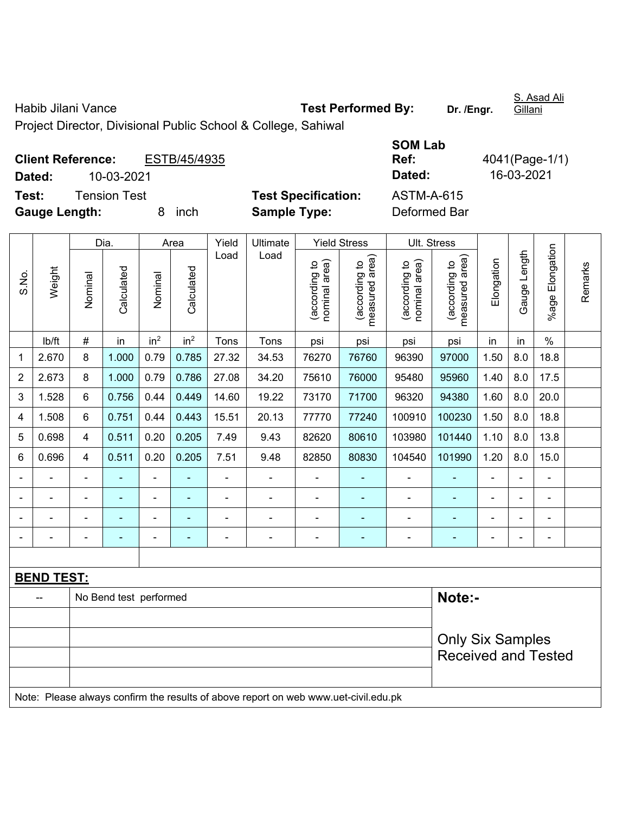Habib Jilani Vance **Test Performed By:** Dr. /Engr.

S. Asad Ali Gillani

Project Director, Divisional Public School & College, Sahiwal

|                      | <b>Client Reference:</b> | ESTB/45/4935 |                            | Ref:         | 4041(Page-1/ |
|----------------------|--------------------------|--------------|----------------------------|--------------|--------------|
| Dated:               | 10-03-2021               |              |                            | Dated:       | 16-03-2021   |
| Test:                | Tension Test             |              | <b>Test Specification:</b> | ASTM-A-615   |              |
| <b>Gauge Length:</b> |                          | inch         | <b>Sample Type:</b>        | Deformed Bar |              |

| <b>SOM Lab</b> |                |
|----------------|----------------|
| Ref:           | 4041(Page-1/1) |
| Dated:         | 16-03-2021     |
| ASTM-A-615     |                |
| Deformed Bar   |                |

|       |                            |                | Dia.                     |                          | Area            | Yield                    | Ultimate                                                                            |                                | <b>Yield Stress</b>             |                                | Ult. Stress                     |                |              |                 |         |
|-------|----------------------------|----------------|--------------------------|--------------------------|-----------------|--------------------------|-------------------------------------------------------------------------------------|--------------------------------|---------------------------------|--------------------------------|---------------------------------|----------------|--------------|-----------------|---------|
| S.No. | Weight                     | Nominal        | Calculated               | Nominal                  | Calculated      | Load                     | Load                                                                                | (according to<br>nominal area) | (according to<br>measured area) | nominal area)<br>(according to | measured area)<br>(according to | Elongation     | Gauge Length | %age Elongation | Remarks |
|       | lb/ft                      | $\#$           | in                       | in <sup>2</sup>          | in <sup>2</sup> | Tons                     | Tons                                                                                | psi                            | psi                             | psi                            | psi                             | in             | in           | $\%$            |         |
| 1     | 2.670                      | 8              | 1.000                    | 0.79                     | 0.785           | 27.32                    | 34.53                                                                               | 76270                          | 76760                           | 96390                          | 97000                           | 1.50           | 8.0          | 18.8            |         |
| 2     | 2.673                      | 8              | 1.000                    | 0.79                     | 0.786           | 27.08                    | 34.20                                                                               | 75610                          | 76000                           | 95480                          | 95960                           | 1.40           | 8.0          | 17.5            |         |
| 3     | 1.528                      | 6              | 0.756                    | 0.44                     | 0.449           | 14.60                    | 19.22                                                                               | 73170                          | 71700                           | 96320                          | 94380                           | 1.60           | 8.0          | 20.0            |         |
| 4     | 1.508                      | 6              | 0.751                    | 0.44                     | 0.443           | 15.51                    | 20.13                                                                               | 77770                          | 77240                           | 100910                         | 100230                          | 1.50           | 8.0          | 18.8            |         |
| 5     | 0.698                      | 4              | 0.511                    | 0.20                     | 0.205           | 7.49                     | 9.43                                                                                | 82620                          | 80610                           | 103980                         | 101440                          | 1.10           | 8.0          | 13.8            |         |
| 6     | 0.696                      | 4              | 0.511                    | 0.20                     | 0.205           | 7.51                     | 9.48                                                                                | 82850                          | 80830                           | 104540                         | 101990                          | 1.20           | 8.0          | 15.0            |         |
|       |                            |                |                          | ÷,                       |                 | L,                       | ä,                                                                                  |                                |                                 |                                |                                 |                |              | ä,              |         |
|       |                            |                |                          |                          |                 |                          | $\blacksquare$                                                                      |                                |                                 |                                |                                 |                |              | $\blacksquare$  |         |
|       |                            |                |                          |                          |                 |                          |                                                                                     | $\blacksquare$                 |                                 |                                |                                 |                |              |                 |         |
|       | $\blacksquare$             | $\blacksquare$ | $\overline{\phantom{0}}$ | $\overline{\phantom{0}}$ | ٠               | $\overline{\phantom{0}}$ | $\blacksquare$                                                                      | $\blacksquare$                 | ۰                               | $\blacksquare$                 | $\overline{\phantom{0}}$        | $\blacksquare$ | ٠            | $\blacksquare$  |         |
|       |                            |                |                          |                          |                 |                          |                                                                                     |                                |                                 |                                |                                 |                |              |                 |         |
|       | <b>BEND TEST:</b>          |                |                          |                          |                 |                          |                                                                                     |                                |                                 |                                |                                 |                |              |                 |         |
|       |                            |                | No Bend test performed   |                          |                 |                          |                                                                                     |                                |                                 |                                | Note:-                          |                |              |                 |         |
|       |                            |                |                          |                          |                 |                          |                                                                                     |                                |                                 |                                |                                 |                |              |                 |         |
|       |                            |                |                          |                          |                 |                          |                                                                                     |                                |                                 |                                | <b>Only Six Samples</b>         |                |              |                 |         |
|       | <b>Received and Tested</b> |                |                          |                          |                 |                          |                                                                                     |                                |                                 |                                |                                 |                |              |                 |         |
|       |                            |                |                          |                          |                 |                          | Note: Please always confirm the results of above report on web www.uet-civil.edu.pk |                                |                                 |                                |                                 |                |              |                 |         |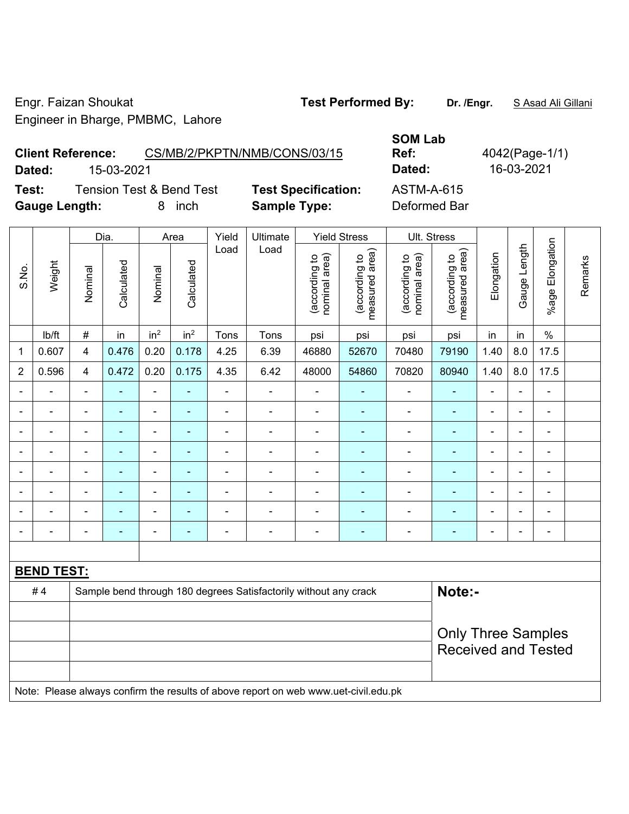Engr. Faizan Shoukat **Test Performed By: Dr. /Engr.** S Asad Ali Gillani Engineer in Bharge, PMBMC, Lahore

**Client Reference:** CS/MB/2/PKPTN/NMB/CONS/03/15 **Dated:** 15-03-2021 **Dated:** 16-03-2021 **Test:** Tension Test & Bend Test **Test Specification:** ASTM-A-615

**Gauge Length:** 8 inch **Sample Type:** Deformed Bar

**Ref:** 4042(Page-1/1)

Dia. | Area | Yield | Ultimate | Yield Stress | Ult. Stress %age Elongation %age Elongation Gauge Length Load Load Gauge Length (according to<br>measured area) measured area) (according to<br>measured area) measured area) (according to<br>nominal area) (according to<br>nominal area) **Elongation** nominal area) nominal area) Elongation (according to (according to (according to (according to Remarks Remarks **Calculated Calculated** Weight Calculated Calculated S.No. Nominal Nominal Vominal Vominal <code>ib/ft | # |</code> in <code>|</code> in $^2$  | in $^2$  | Tons | Tons | psi | psi | psi | psi | in | in | % 1 | 0.607 | 4 | 0.476 | 0.20 | 0.178 | 4.25 | 6.39 | 46880 | 52670 | 70480 | 79190 | 1.40 | 8.0 | 17.5 2 | 0.596 | 4 | 0.472 | 0.20 | 0.175 | 4.35 | 6.42 | 48000 | 54860 | 70820 | 80940 | 1.40 | 8.0 | 17.5 - - - - - - - - - - - - - - - - - - - - - - - - - - - - - - - - - - - - - - - - - - - - - - - - - - - - - - - - - - - - - - - - - - - - - - - - - - - - - - - - - - - - - - - - - - - - - - - - - - - - - - - - - - - - - - - - - - - - - - - - **BEND TEST:**  # 4 Sample bend through 180 degrees Satisfactorily without any crack **Note:-**Only Three Samples Received and Tested Note: Please always confirm the results of above report on web www.uet-civil.edu.pk

**SOM Lab**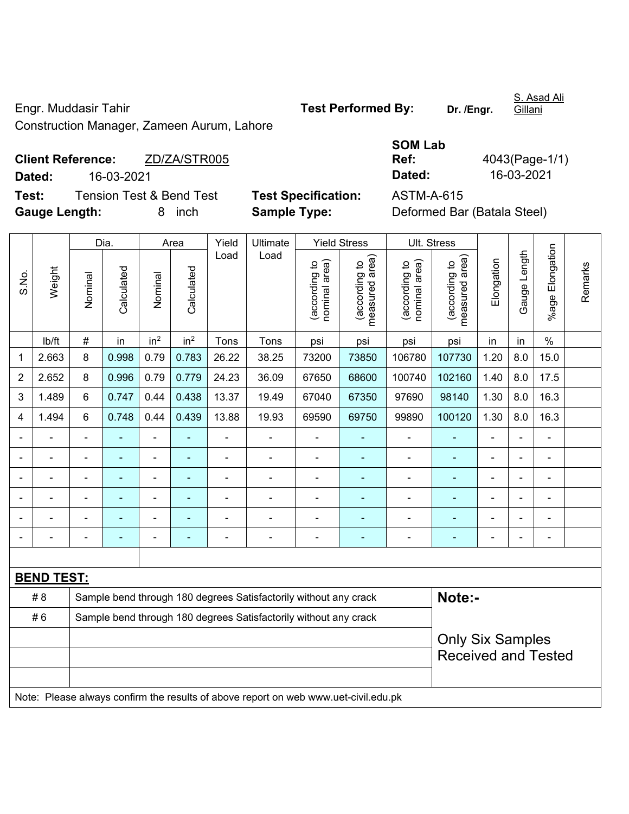Engr. Muddasir Tahir **Test Performed By: Dr. /Engr.**  Construction Manager, Zameen Aurum, Lahore

**Client Reference:** ZD/ZA/STR005 **Dated:** 16-03-2021 **Dated:** 16-03-2021 **Test:** Tension Test & Bend Test **Test Specification:** ASTM-A-615

**Gauge Length:** 8 inch **Sample Type:** Deformed Bar (Batala Steel)

| <b>SOM Lab</b> |                |
|----------------|----------------|
| Ref:           | 4043(Page-1/1) |
| Dated:         | 16-03-2021     |

Dia. | Area | Yield | Ultimate | Yield Stress | Ult. Stress %age Elongation %age Elongation Gauge Length Load Load Gauge Length (according to<br>measured area) measured area) (according to<br>measured area) measured area) (according to<br>nominal area) (according to<br>nominal area) nominal area) nominal area) Elongation Elongation (according to (according to (according to (according to Remarks Remarks Weight **Calculated Calculated** Calculated Calculated S.No. Nominal Nominal Nominal Nominal | lb/ft | # | in | in<sup>2</sup> | in<sup>2</sup> | Tons | Tons | psi | psi | psi | psi | in | in | % 1 | 2.663 | 8 | 0.998 | 0.79 | 0.783 | 26.22 | 38.25 | 73200 | 73850 | 106780 | 107730 | 1.20 | 8.0 | 15.0 2 | 2.652 | 8 | 0.996 | 0.79 | 0.779 | 24.23 | 36.09 | 67650 | 68600 | 100740 | 102160 | 1.40 | 8.0 | 17.5 3 | 1.489 | 6 | 0.747 | 0.44 | 0.438 | 13.37 | 19.49 | 67040 | 67350 | 97690 | 98140 | 1.30 | 8.0 | 16.3 4 | 1.494 | 6 | 0.748 | 0.44 | 0.439 | 13.88 | 19.93 | 69590 | 69750 | 99890 | 100120 | 1.30 | 8.0 | 16.3 - - - - - - - - - - - - - - - - - - - - - - - - - - - - - - - - - - - - - - - - - - - - - - - - - - - - - - - - - - - - - - - - - - - - - - - - - - - - - - - - - - - - - - - - - - **BEND TEST:**  # 8 Sample bend through 180 degrees Satisfactorily without any crack **Note:-**#6 Sample bend through 180 degrees Satisfactorily without any crack Only Six Samples Received and Tested Note: Please always confirm the results of above report on web www.uet-civil.edu.pk

S. Asad Ali

Gillani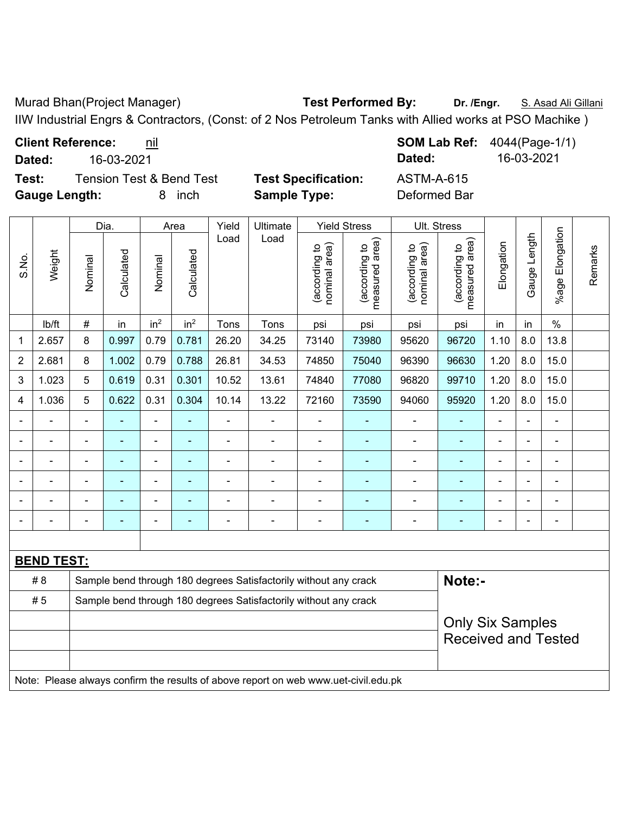Murad Bhan(Project Manager) **Test Performed By: Dr. /Engr.** S. Asad Ali Gillani

IIW Industrial Engrs & Contractors, (Const: of 2 Nos Petroleum Tanks with Allied works at PSO Machike )

**Test:** Tension Test & Bend Test **Test Specification:** ASTM-A-615 **Gauge Length:** 8 inch **Sample Type:** Deformed Bar

**Client Reference:** nil **SOM Lab Ref:** 4044(Page-1/1) **Dated:** 16-03-2021 **Dated:** 16-03-2021

|                |                   |                | Dia.           | Area                     |                 | Yield          | Ultimate                                                                            |                                | <b>Yield Stress</b>             |                                | Ult. Stress                     |                |                          |                 |         |
|----------------|-------------------|----------------|----------------|--------------------------|-----------------|----------------|-------------------------------------------------------------------------------------|--------------------------------|---------------------------------|--------------------------------|---------------------------------|----------------|--------------------------|-----------------|---------|
| S.No.          | Weight            | Nominal        | Calculated     | Nominal                  | Calculated      | Load           | Load                                                                                | nominal area)<br>(according to | (according to<br>measured area) | nominal area)<br>(according to | (according to<br>measured area) | Elongation     | Gauge Length             | %age Elongation | Remarks |
|                | lb/ft             | $\#$           | in             | in <sup>2</sup>          | in <sup>2</sup> | Tons           | Tons                                                                                | psi                            | psi                             | psi                            | psi                             | in             | in                       | $\%$            |         |
| 1              | 2.657             | 8              | 0.997          | 0.79                     | 0.781           | 26.20          | 34.25                                                                               | 73140                          | 73980                           | 95620                          | 96720                           | 1.10           | 8.0                      | 13.8            |         |
| $\overline{2}$ | 2.681             | 8              | 1.002          | 0.79                     | 0.788           | 26.81          | 34.53                                                                               | 74850                          | 75040                           | 96390                          | 96630                           | 1.20           | 8.0                      | 15.0            |         |
| 3              | 1.023             | 5              | 0.619          | 0.31                     | 0.301           | 10.52          | 13.61                                                                               | 74840                          | 77080                           | 96820                          | 99710                           | 1.20           | 8.0                      | 15.0            |         |
| 4              | 1.036             | 5              | 0.622          | 0.31                     | 0.304           | 10.14          | 13.22                                                                               | 72160                          | 73590                           | 94060                          | 95920                           | 1.20           | 8.0                      | 15.0            |         |
|                |                   |                |                | $\blacksquare$           |                 |                |                                                                                     |                                |                                 |                                |                                 |                |                          | ä,              |         |
|                |                   |                | $\blacksquare$ | $\overline{\phantom{a}}$ | $\blacksquare$  |                |                                                                                     | ÷                              | $\overline{\phantom{a}}$        | $\blacksquare$                 | $\blacksquare$                  | Ē,             | Ē,                       | $\blacksquare$  |         |
|                |                   | $\blacksquare$ | $\blacksquare$ | $\blacksquare$           | $\blacksquare$  | $\blacksquare$ | $\blacksquare$                                                                      | ۰                              | $\overline{\phantom{a}}$        | $\overline{a}$                 | $\blacksquare$                  | $\blacksquare$ | $\overline{\phantom{0}}$ | $\overline{a}$  |         |
|                |                   |                | $\blacksquare$ | $\blacksquare$           |                 |                |                                                                                     |                                |                                 | Ē,                             |                                 | ä,             |                          | $\blacksquare$  |         |
|                |                   |                |                | $\blacksquare$           |                 |                |                                                                                     |                                |                                 |                                |                                 |                |                          | $\blacksquare$  |         |
|                |                   |                |                |                          |                 |                |                                                                                     |                                |                                 |                                |                                 |                |                          | $\blacksquare$  |         |
|                |                   |                |                |                          |                 |                |                                                                                     |                                |                                 |                                |                                 |                |                          |                 |         |
|                | <b>BEND TEST:</b> |                |                |                          |                 |                |                                                                                     |                                |                                 |                                |                                 |                |                          |                 |         |
|                | #8                |                |                |                          |                 |                | Sample bend through 180 degrees Satisfactorily without any crack                    |                                |                                 |                                | Note:-                          |                |                          |                 |         |
|                | #5                |                |                |                          |                 |                | Sample bend through 180 degrees Satisfactorily without any crack                    |                                |                                 |                                |                                 |                |                          |                 |         |
|                |                   |                |                |                          |                 |                |                                                                                     |                                |                                 |                                | <b>Only Six Samples</b>         |                |                          |                 |         |
|                |                   |                |                |                          |                 |                |                                                                                     |                                |                                 |                                | <b>Received and Tested</b>      |                |                          |                 |         |
|                |                   |                |                |                          |                 |                |                                                                                     |                                |                                 |                                |                                 |                |                          |                 |         |
|                |                   |                |                |                          |                 |                | Note: Please always confirm the results of above report on web www.uet-civil.edu.pk |                                |                                 |                                |                                 |                |                          |                 |         |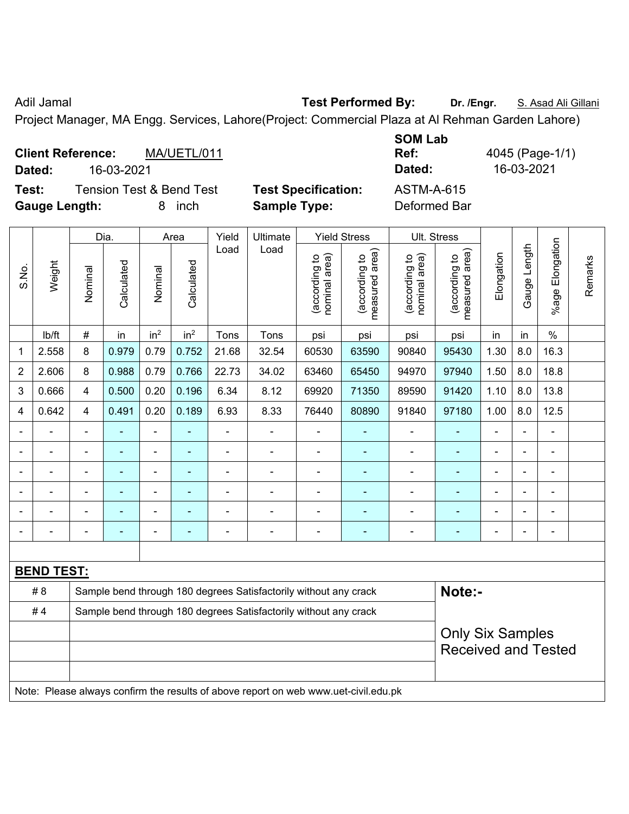Adil Jamal **Test Performed By:** Dr. /Engr. **S. Asad Ali Gillani** Adil Jamal

Project Manager, MA Engg. Services, Lahore(Project: Commercial Plaza at Al Rehman Garden Lahore)

|        | <b>Client Reference:</b> | MA/UETL/011                         |
|--------|--------------------------|-------------------------------------|
| Dated: | 16-03-2021               |                                     |
| Test:  |                          | <b>Tension Test &amp; Bend Test</b> |

Test Specification: <br>ASTM-A-615 **Gauge Length:** 8 inch **Sample Type:** Deformed Bar

**SOM Lab Ref:** 4045 (Page-1/1) **Dated:** 16-03-2021 **Dated:** 16-03-2021

Remarks

Remarks

|                |                   |                | Dia.       |                 | Area            | Yield          | Ultimate                                                         |                                | <b>Yield Stress</b>             | Ult. Stress                    |                                                       |                          |              |                 |  |  |
|----------------|-------------------|----------------|------------|-----------------|-----------------|----------------|------------------------------------------------------------------|--------------------------------|---------------------------------|--------------------------------|-------------------------------------------------------|--------------------------|--------------|-----------------|--|--|
| S.No.          | Weight            | Nominal        | Calculated | Nominal         | Calculated      | Load           | Load                                                             | nominal area)<br>(according to | measured area)<br>(according to | nominal area)<br>(according to | area)<br>(according to<br>measured                    | Elongation               | Gauge Length | %age Elongation |  |  |
|                | lb/ft             | $\#$           | in         | in <sup>2</sup> | in <sup>2</sup> | Tons           | Tons                                                             | psi                            | psi                             | psi                            | psi                                                   | in                       | in           | $\frac{0}{0}$   |  |  |
| $\mathbf{1}$   | 2.558             | 8              | 0.979      | 0.79            | 0.752           | 21.68          | 32.54                                                            | 60530                          | 63590                           | 90840                          | 95430                                                 | 1.30                     | 8.0          | 16.3            |  |  |
| $\overline{2}$ | 2.606             | 8              | 0.988      | 0.79            | 0.766           | 22.73          | 34.02                                                            | 63460                          | 65450                           | 94970                          | 97940                                                 | 1.50                     | 8.0          | 18.8            |  |  |
| 3              | 0.666             | $\overline{4}$ | 0.500      | 0.20            | 0.196           | 6.34           | 8.12                                                             | 69920                          | 71350                           | 89590                          | 91420                                                 | 1.10                     | 8.0          | 13.8            |  |  |
| 4              | 0.642             | $\overline{4}$ | 0.491      | 0.20            | 0.189           | 6.93           | 8.33                                                             | 76440                          | 80890                           | 91840                          | 97180                                                 | 1.00                     | 8.0          | 12.5            |  |  |
| $\blacksquare$ |                   |                |            | $\blacksquare$  |                 |                |                                                                  |                                |                                 |                                |                                                       |                          |              |                 |  |  |
| $\blacksquare$ |                   | $\blacksquare$ | ä,         | $\blacksquare$  | ÷,              | $\blacksquare$ |                                                                  | $\blacksquare$                 | $\blacksquare$                  | $\blacksquare$                 |                                                       | $\overline{\phantom{0}}$ | ä,           | $\blacksquare$  |  |  |
| $\blacksquare$ |                   |                | ۳          | $\blacksquare$  | -               | $\blacksquare$ | $\blacksquare$                                                   | $\blacksquare$                 | ۰                               | $\blacksquare$                 |                                                       | $\overline{\phantom{0}}$ | ÷            | $\blacksquare$  |  |  |
| ÷              |                   |                |            | ä,              |                 | $\blacksquare$ |                                                                  | ÷                              | ÷,                              | $\blacksquare$                 |                                                       | ÷,                       | L,           |                 |  |  |
| $\blacksquare$ |                   |                |            | $\overline{a}$  |                 |                |                                                                  |                                |                                 |                                |                                                       |                          |              |                 |  |  |
| $\blacksquare$ |                   |                |            | $\blacksquare$  |                 | $\blacksquare$ | $\blacksquare$                                                   | -                              | $\qquad \qquad \blacksquare$    | ÷                              |                                                       | ٠                        |              | $\blacksquare$  |  |  |
|                |                   |                |            |                 |                 |                |                                                                  |                                |                                 |                                |                                                       |                          |              |                 |  |  |
|                | <b>BEND TEST:</b> |                |            |                 |                 |                |                                                                  |                                |                                 |                                |                                                       |                          |              |                 |  |  |
|                | # 8               |                |            |                 |                 |                | Sample bend through 180 degrees Satisfactorily without any crack |                                |                                 |                                | Note:-                                                |                          |              |                 |  |  |
|                | #4                |                |            |                 |                 |                | Sample bend through 180 degrees Satisfactorily without any crack |                                |                                 |                                |                                                       |                          |              |                 |  |  |
|                |                   |                |            |                 |                 |                |                                                                  |                                |                                 |                                | <b>Only Six Samples</b><br><b>Received and Tested</b> |                          |              |                 |  |  |
|                |                   |                |            |                 |                 |                |                                                                  |                                |                                 |                                |                                                       |                          |              |                 |  |  |

Note: Please always confirm the results of above report on web www.uet-civil.edu.pk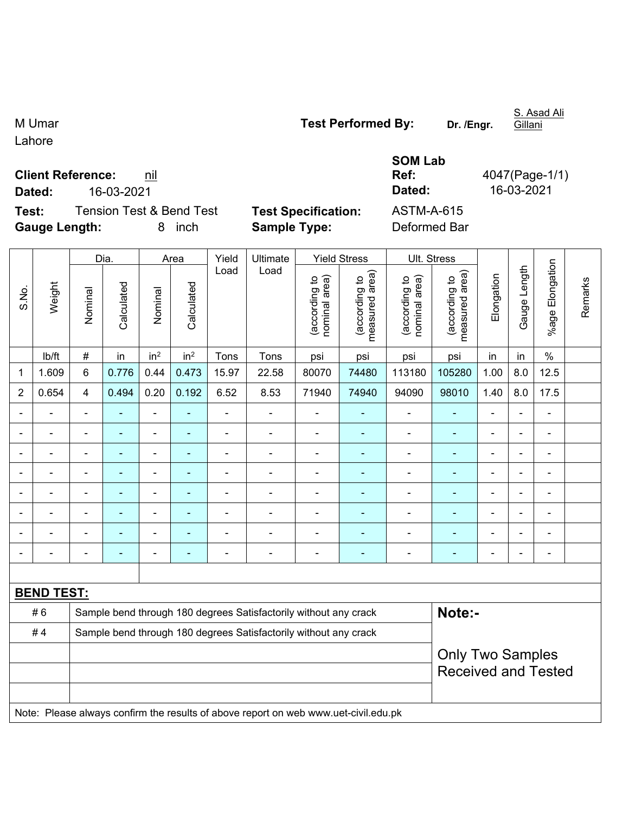M Umar **Test Performed By: Dr. /Engr.** 

**Ref:** 4047(Page-1/1)

Lahore

| <b>Client Reference:</b> | nil |
|--------------------------|-----|
|                          |     |

**Dated:** 16-03-2021 **Dated:** 16-03-2021

**Test:** Tension Test & Bend Test **Test Specification:** ASTM-A-615 **Gauge Length:** 8 inch **Sample Type:** Deformed Bar

**SOM Lab** 

|                |                   |                                                | Dia.<br>Area   |                 |                                | Yield                           | Ultimate                                                                            |                                 | <b>Yield Stress</b>      |                | Ult. Stress               |                |                |                |  |
|----------------|-------------------|------------------------------------------------|----------------|-----------------|--------------------------------|---------------------------------|-------------------------------------------------------------------------------------|---------------------------------|--------------------------|----------------|---------------------------|----------------|----------------|----------------|--|
| S.No.          | Weight            | Calculated<br>Calculated<br>Nominal<br>Nominal | Load           | Load            | (according to<br>nominal area) | measured area)<br>(according to | nominal area)<br>(according to                                                      | (according to<br>measured area) | Elongation               | Gauge Length   | Elongation<br>$%$ age $I$ | Remarks        |                |                |  |
|                | lb/ft             | $\#$                                           | in             | in <sup>2</sup> | in <sup>2</sup>                | Tons                            | Tons                                                                                | psi                             | psi                      | psi            | psi                       | in             | in             | $\frac{0}{0}$  |  |
| 1              | 1.609             | $6\phantom{1}$                                 | 0.776          | 0.44            | 0.473                          | 15.97                           | 22.58                                                                               | 80070                           | 74480                    | 113180         | 105280                    | 1.00           | 8.0            | 12.5           |  |
| $\overline{2}$ | 0.654             | 4                                              | 0.494          | 0.20            | 0.192                          | 6.52                            | 8.53                                                                                | 71940                           | 74940                    | 94090          | 98010                     | 1.40           | 8.0            | 17.5           |  |
|                |                   | $\overline{a}$                                 | $\blacksquare$ | $\blacksquare$  |                                | ä,                              | $\blacksquare$                                                                      | $\blacksquare$                  |                          | ä,             |                           | L.             |                | $\blacksquare$ |  |
|                |                   |                                                | ۳              | $\blacksquare$  |                                |                                 | $\blacksquare$                                                                      | $\blacksquare$                  | $\blacksquare$           | $\blacksquare$ | $\blacksquare$            | $\blacksquare$ |                | $\blacksquare$ |  |
|                |                   |                                                |                |                 |                                |                                 | -                                                                                   |                                 |                          |                |                           |                |                |                |  |
|                |                   | $\blacksquare$                                 | ٠              | $\blacksquare$  |                                | $\blacksquare$                  | $\overline{\phantom{a}}$                                                            | $\blacksquare$                  |                          | $\blacksquare$ | $\blacksquare$            | $\blacksquare$ | $\blacksquare$ | $\blacksquare$ |  |
| $\blacksquare$ |                   | $\blacksquare$                                 | ÷,             | ÷               | ÷                              | $\blacksquare$                  | $\frac{1}{2}$                                                                       | $\blacksquare$                  | $\overline{\phantom{a}}$ | $\blacksquare$ | ٠                         | ÷,             | $\blacksquare$ | $\blacksquare$ |  |
|                |                   | $\blacksquare$                                 | ٠              | ÷               |                                | $\blacksquare$                  | $\blacksquare$                                                                      | ä,                              |                          | $\blacksquare$ |                           | $\blacksquare$ | $\blacksquare$ | $\blacksquare$ |  |
| $\blacksquare$ | $\blacksquare$    | ä,                                             | $\blacksquare$ | $\blacksquare$  | ÷                              | $\blacksquare$                  | $\blacksquare$                                                                      | $\blacksquare$                  | ÷,                       | $\blacksquare$ | $\blacksquare$            | $\blacksquare$ |                | ÷,             |  |
|                |                   | $\blacksquare$                                 | $\blacksquare$ | $\blacksquare$  |                                | ä,                              | $\blacksquare$                                                                      | Ē,                              | $\blacksquare$           | $\blacksquare$ | $\blacksquare$            | Ē,             |                | $\blacksquare$ |  |
|                |                   |                                                |                |                 |                                |                                 |                                                                                     |                                 |                          |                |                           |                |                |                |  |
|                | <b>BEND TEST:</b> |                                                |                |                 |                                |                                 |                                                                                     |                                 |                          |                |                           |                |                |                |  |
|                | #6                |                                                |                |                 |                                |                                 | Sample bend through 180 degrees Satisfactorily without any crack                    |                                 |                          |                | Note:-                    |                |                |                |  |
|                | #4                |                                                |                |                 |                                |                                 | Sample bend through 180 degrees Satisfactorily without any crack                    |                                 |                          |                |                           |                |                |                |  |
|                |                   |                                                |                |                 |                                |                                 |                                                                                     |                                 |                          |                | <b>Only Two Samples</b>   |                |                |                |  |
|                |                   |                                                |                |                 |                                |                                 | <b>Received and Tested</b>                                                          |                                 |                          |                |                           |                |                |                |  |
|                |                   |                                                |                |                 |                                |                                 |                                                                                     |                                 |                          |                |                           |                |                |                |  |
|                |                   |                                                |                |                 |                                |                                 | Note: Please always confirm the results of above report on web www.uet-civil.edu.pk |                                 |                          |                |                           |                |                |                |  |

S. Asad Ali **Gillani**